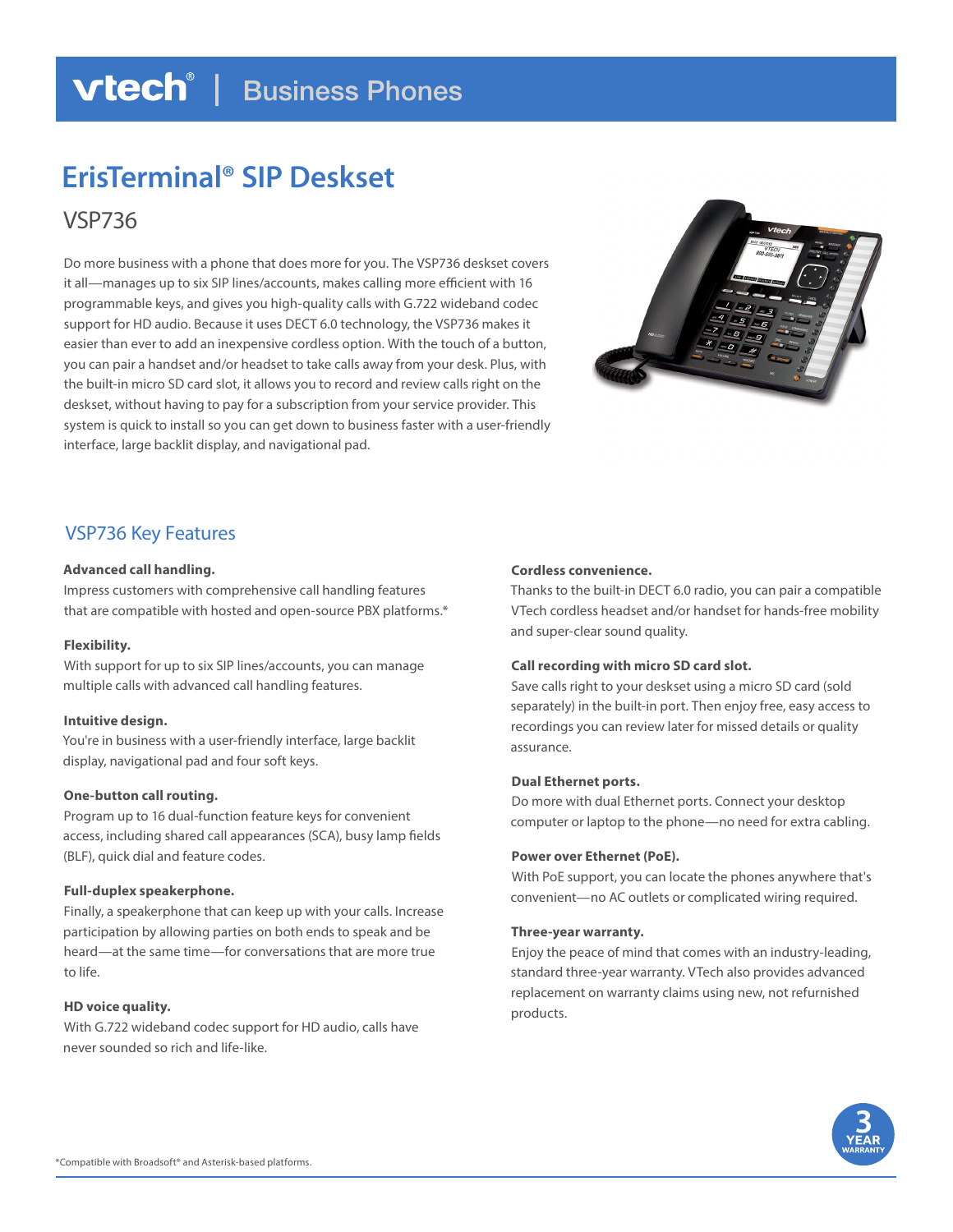### **vtech**<sup>®</sup> | Business Phones

# **ErisTerminal® SIP Deskset**

VSP736

Do more business with a phone that does more for you. The VSP736 deskset covers it all—manages up to six SIP lines/accounts, makes calling more efficient with 16 programmable keys, and gives you high-quality calls with G.722 wideband codec support for HD audio. Because it uses DECT 6.0 technology, the VSP736 makes it easier than ever to add an inexpensive cordless option. With the touch of a button, you can pair a handset and/or headset to take calls away from your desk. Plus, with the built-in micro SD card slot, it allows you to record and review calls right on the deskset, without having to pay for a subscription from your service provider. This system is quick to install so you can get down to business faster with a user-friendly interface, large backlit display, and navigational pad.



### VSP736 Key Features

#### **Advanced call handling.**

Impress customers with comprehensive call handling features that are compatible with hosted and open-source PBX platforms.\*

#### **Flexibility.**

With support for up to six SIP lines/accounts, you can manage multiple calls with advanced call handling features.

#### **Intuitive design.**

You're in business with a user-friendly interface, large backlit display, navigational pad and four soft keys.

#### **One-button call routing.**

Program up to 16 dual-function feature keys for convenient access, including shared call appearances (SCA), busy lamp fields (BLF), quick dial and feature codes.

#### **Full-duplex speakerphone.**

Finally, a speakerphone that can keep up with your calls. Increase participation by allowing parties on both ends to speak and be heard—at the same time—for conversations that are more true to life.

#### **HD voice quality.**

With G.722 wideband codec support for HD audio, calls have never sounded so rich and life-like.

#### **Cordless convenience.**

Thanks to the built-in DECT 6.0 radio, you can pair a compatible VTech cordless headset and/or handset for hands-free mobility and super-clear sound quality.

#### **Call recording with micro SD card slot.**

Save calls right to your deskset using a micro SD card (sold separately) in the built-in port. Then enjoy free, easy access to recordings you can review later for missed details or quality assurance.

#### **Dual Ethernet ports.**

Do more with dual Ethernet ports. Connect your desktop computer or laptop to the phone—no need for extra cabling.

#### **Power over Ethernet (PoE).**

With PoE support, you can locate the phones anywhere that's convenient—no AC outlets or complicated wiring required.

#### **Three-year warranty.**

Enjoy the peace of mind that comes with an industry-leading, standard three-year warranty. VTech also provides advanced replacement on warranty claims using new, not refurnished products.